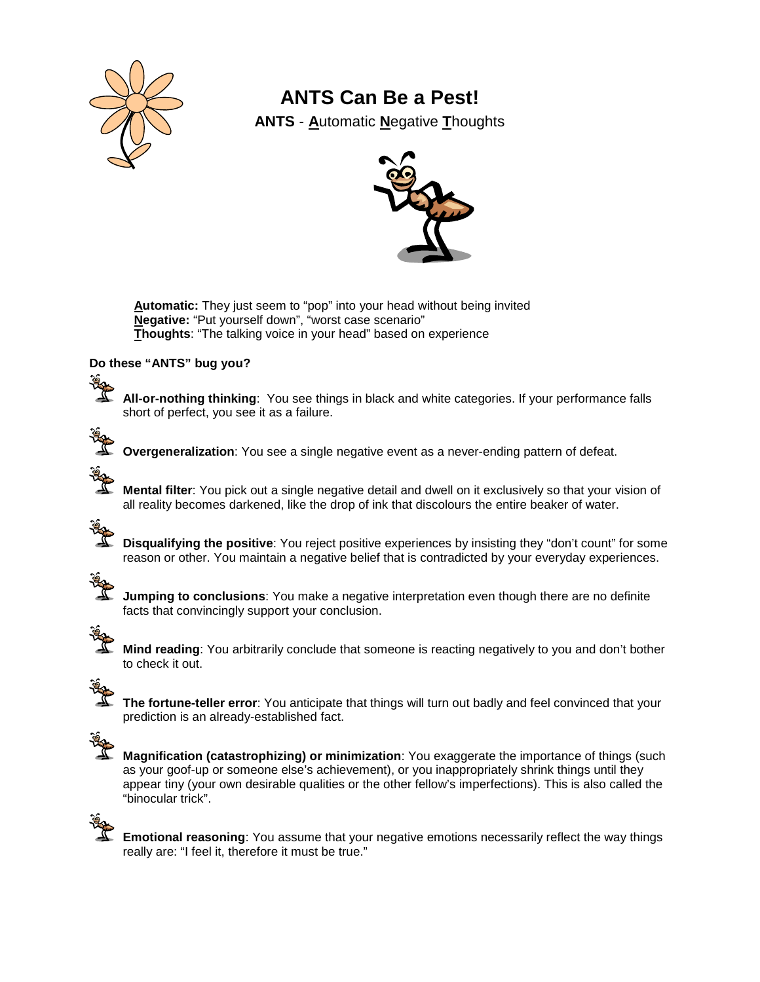

## **ANTS Can Be a Pest!**

**ANTS** - **A**utomatic **N**egative **T**houghts



**Automatic:** They just seem to "pop" into your head without being invited **Negative:** "Put yourself down", "worst case scenario" **Thoughts**: "The talking voice in your head" based on experience

### **Do these "ANTS" bug you?**

<u> په</u>

**All-or-nothing thinking**: You see things in black and white categories. If your performance falls short of perfect, you see it as a failure.



**Overgeneralization**: You see a single negative event as a never-ending pattern of defeat.

**Mental filter**: You pick out a single negative detail and dwell on it exclusively so that your vision of all reality becomes darkened, like the drop of ink that discolours the entire beaker of water.

**Disqualifying the positive**: You reject positive experiences by insisting they "don't count" for some reason or other. You maintain a negative belief that is contradicted by your everyday experiences.



**Jumping to conclusions**: You make a negative interpretation even though there are no definite facts that convincingly support your conclusion.



**Mind reading**: You arbitrarily conclude that someone is reacting negatively to you and don't bother to check it out.



**The fortune-teller error**: You anticipate that things will turn out badly and feel convinced that your prediction is an already-established fact.



**Magnification (catastrophizing) or minimization**: You exaggerate the importance of things (such as your goof-up or someone else's achievement), or you inappropriately shrink things until they appear tiny (your own desirable qualities or the other fellow's imperfections). This is also called the "binocular trick".



**Emotional reasoning**: You assume that your negative emotions necessarily reflect the way things really are: "I feel it, therefore it must be true."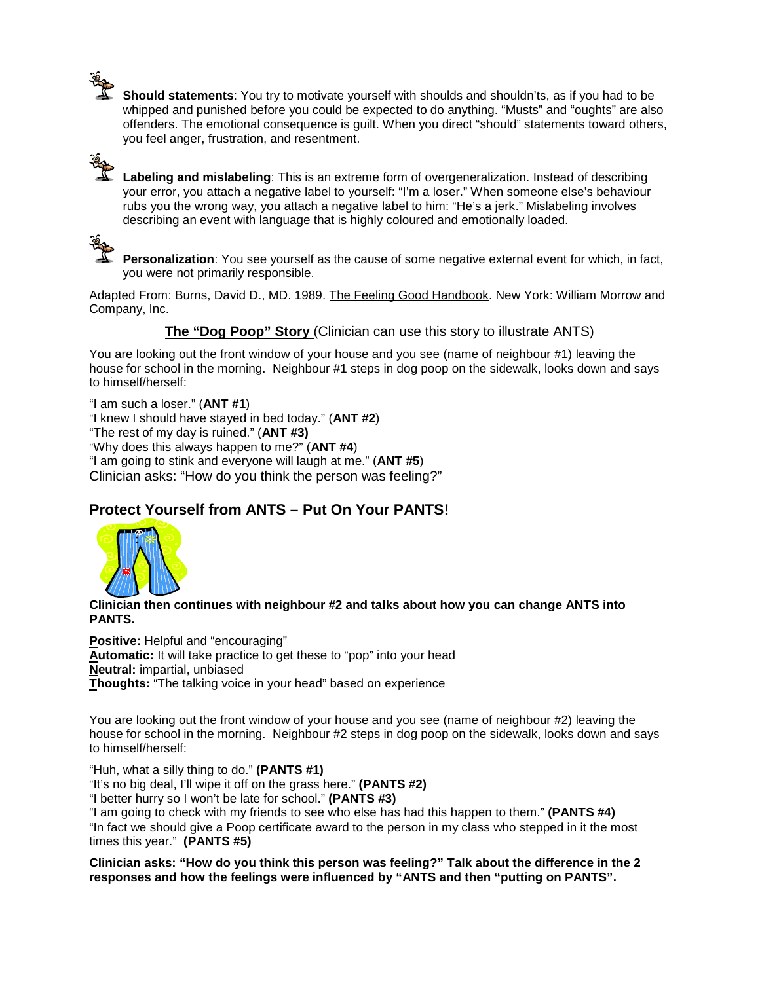**Should statements**: You try to motivate yourself with shoulds and shouldn'ts, as if you had to be whipped and punished before you could be expected to do anything. "Musts" and "oughts" are also offenders. The emotional consequence is guilt. When you direct "should" statements toward others, you feel anger, frustration, and resentment.

**Labeling and mislabeling**: This is an extreme form of overgeneralization. Instead of describing your error, you attach a negative label to yourself: "I'm a loser." When someone else's behaviour rubs you the wrong way, you attach a negative label to him: "He's a jerk." Mislabeling involves describing an event with language that is highly coloured and emotionally loaded.



**Personalization**: You see yourself as the cause of some negative external event for which, in fact, you were not primarily responsible.

Adapted From: Burns, David D., MD. 1989. The Feeling Good Handbook. New York: William Morrow and Company, Inc.

**The "Dog Poop" Story** (Clinician can use this story to illustrate ANTS)

You are looking out the front window of your house and you see (name of neighbour #1) leaving the house for school in the morning. Neighbour #1 steps in dog poop on the sidewalk, looks down and says to himself/herself:

"I am such a loser." (**ANT #1**) "I knew I should have stayed in bed today." (**ANT #2**) "The rest of my day is ruined." (**ANT #3)**

"Why does this always happen to me?" (**ANT #4**)

"I am going to stink and everyone will laugh at me." (**ANT #5**)

Clinician asks: "How do you think the person was feeling?"

### **Protect Yourself from ANTS – Put On Your PANTS!**



**Clinician then continues with neighbour #2 and talks about how you can change ANTS into PANTS.**

**Positive:** Helpful and "encouraging" **Automatic:** It will take practice to get these to "pop" into your head **Neutral:** impartial, unbiased **Thoughts:** "The talking voice in your head" based on experience

You are looking out the front window of your house and you see (name of neighbour #2) leaving the house for school in the morning. Neighbour #2 steps in dog poop on the sidewalk, looks down and says to himself/herself:

"Huh, what a silly thing to do." **(PANTS #1)**

"It's no big deal, I'll wipe it off on the grass here." **(PANTS #2)**

"I better hurry so I won't be late for school." **(PANTS #3)**

"I am going to check with my friends to see who else has had this happen to them." **(PANTS #4)** "In fact we should give a Poop certificate award to the person in my class who stepped in it the most times this year." **(PANTS #5)**

**Clinician asks: "How do you think this person was feeling?" Talk about the difference in the 2 responses and how the feelings were influenced by "ANTS and then "putting on PANTS".**